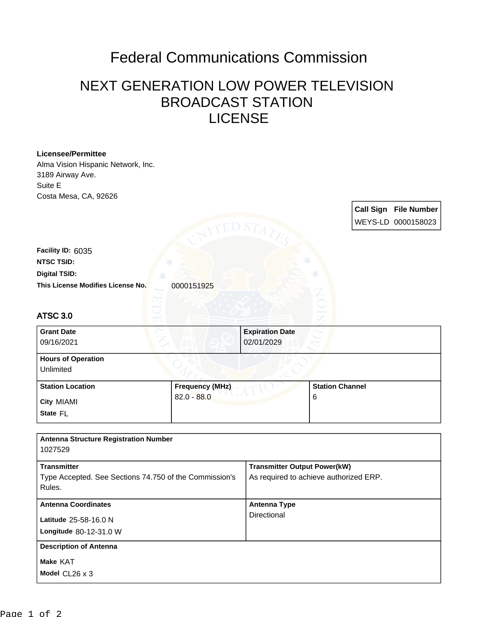## Federal Communications Commission

## NEXT GENERATION LOW POWER TELEVISION BROADCAST STATION LICENSE

| <b>Licensee/Permittee</b><br>Alma Vision Hispanic Network, Inc.<br>3189 Airway Ave. |                        |                                        |                        |  |                              |  |
|-------------------------------------------------------------------------------------|------------------------|----------------------------------------|------------------------|--|------------------------------|--|
| Suite E                                                                             |                        |                                        |                        |  |                              |  |
| Costa Mesa, CA, 92626                                                               |                        |                                        |                        |  |                              |  |
|                                                                                     |                        |                                        |                        |  | <b>Call Sign File Number</b> |  |
|                                                                                     |                        |                                        |                        |  | WEYS-LD 0000158023           |  |
|                                                                                     |                        |                                        |                        |  |                              |  |
| Facility ID: 6035                                                                   |                        |                                        |                        |  |                              |  |
| <b>NTSC TSID:</b>                                                                   |                        |                                        |                        |  |                              |  |
| <b>Digital TSID:</b>                                                                |                        |                                        |                        |  |                              |  |
| This License Modifies License No.                                                   | 0000151925             |                                        |                        |  |                              |  |
|                                                                                     |                        |                                        |                        |  |                              |  |
| <b>ATSC 3.0</b>                                                                     |                        |                                        |                        |  |                              |  |
| <b>Grant Date</b>                                                                   |                        | <b>Expiration Date</b>                 |                        |  |                              |  |
| 09/16/2021                                                                          |                        | 02/01/2029                             |                        |  |                              |  |
| <b>Hours of Operation</b><br>Unlimited                                              |                        |                                        |                        |  |                              |  |
| <b>Station Location</b>                                                             | <b>Frequency (MHz)</b> |                                        | <b>Station Channel</b> |  |                              |  |
| City MIAMI                                                                          | $82.0 - 88.0$          |                                        | 6                      |  |                              |  |
| State FL                                                                            |                        |                                        |                        |  |                              |  |
|                                                                                     |                        |                                        |                        |  |                              |  |
| <b>Antenna Structure Registration Number</b><br>1027529                             |                        |                                        |                        |  |                              |  |
| <b>Transmitter</b>                                                                  |                        | <b>Transmitter Output Power(kW)</b>    |                        |  |                              |  |
| Type Accepted. See Sections 74.750 of the Commission's<br>Rules.                    |                        | As required to achieve authorized ERP. |                        |  |                              |  |
| <b>Antenna Coordinates</b>                                                          |                        | <b>Antenna Type</b>                    |                        |  |                              |  |
| Latitude 25-58-16.0 N                                                               |                        | Directional                            |                        |  |                              |  |
| Longitude 80-12-31.0 W                                                              |                        |                                        |                        |  |                              |  |
| <b>Description of Antenna</b>                                                       |                        |                                        |                        |  |                              |  |
| Make KAT                                                                            |                        |                                        |                        |  |                              |  |
| Model CL26 x 3                                                                      |                        |                                        |                        |  |                              |  |
|                                                                                     |                        |                                        |                        |  |                              |  |